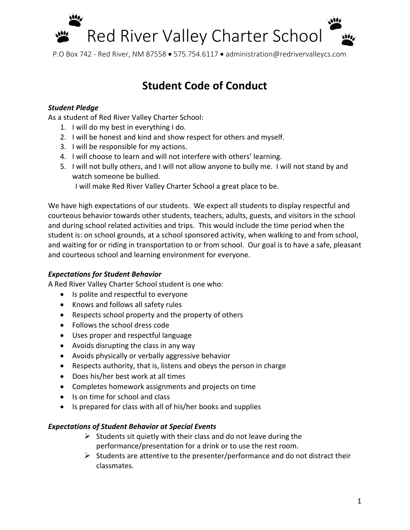

P.O Box 742 - Red River, NM 87558 • 575.754.6117 • administration@redrivervalleycs.com

## **Student Code of Conduct**

#### *Student Pledge*

As a student of Red River Valley Charter School:

- 1. I will do my best in everything I do.
- 2. I will be honest and kind and show respect for others and myself.
- 3. I will be responsible for my actions.
- 4. I will choose to learn and will not interfere with others' learning.
- 5. I will not bully others, and I will not allow anyone to bully me. I will not stand by and watch someone be bullied.

I will make Red River Valley Charter School a great place to be.

We have high expectations of our students. We expect all students to display respectful and courteous behavior towards other students, teachers, adults, guests, and visitors in the school and during school related activities and trips. This would include the time period when the student is: on school grounds, at a school sponsored activity, when walking to and from school, and waiting for or riding in transportation to or from school. Our goal is to have a safe, pleasant and courteous school and learning environment for everyone.

#### *Expectations for Student Behavior*

A Red River Valley Charter School student is one who:

- Is polite and respectful to everyone
- Knows and follows all safety rules
- Respects school property and the property of others
- Follows the school dress code
- Uses proper and respectful language
- Avoids disrupting the class in any way
- Avoids physically or verbally aggressive behavior
- Respects authority, that is, listens and obeys the person in charge
- Does his/her best work at all times
- Completes homework assignments and projects on time
- Is on time for school and class
- Is prepared for class with all of his/her books and supplies

#### *Expectations of Student Behavior at Special Events*

- $\triangleright$  Students sit quietly with their class and do not leave during the performance/presentation for a drink or to use the rest room.
- $\triangleright$  Students are attentive to the presenter/performance and do not distract their classmates.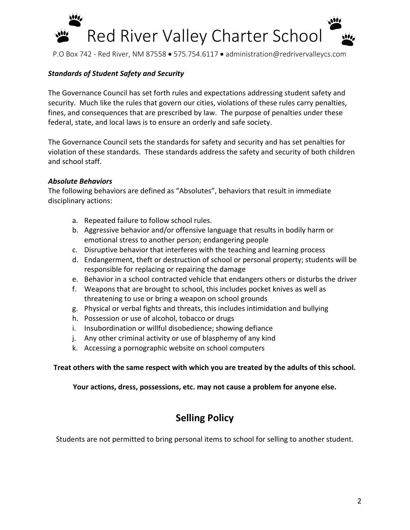# Red River Valley Charter School

P.O Box 742 - Red River, NM 87558 • 575.754.6117 • administration@redrivervalleycs.com

#### *Standards of Student Safety and Security*

The Governance Council has set forth rules and expectations addressing student safety and security. Much like the rules that govern our cities, violations of these rules carry penalties, fines, and consequences that are prescribed by law. The purpose of penalties under these federal, state, and local laws is to ensure an orderly and safe society.

The Governance Council sets the standards for safety and security and has set penalties for violation of these standards. These standards address the safety and security of both children and school staff.

#### *Absolute Behaviors*

The following behaviors are defined as "Absolutes", behaviors that result in immediate disciplinary actions:

- a. Repeated failure to follow school rules.
- b. Aggressive behavior and/or offensive language that results in bodily harm or emotional stress to another person; endangering people
- c. Disruptive behavior that interferes with the teaching and learning process
- d. Endangerment, theft or destruction of school or personal property; students will be responsible for replacing or repairing the damage
- e. Behavior in a school contracted vehicle that endangers others or disturbs the driver
- f. Weapons that are brought to school, this includes pocket knives as well as threatening to use or bring a weapon on school grounds
- g. Physical or verbal fights and threats, this includes intimidation and bullying
- h. Possession or use of alcohol, tobacco or drugs
- i. Insubordination or willful disobedience; showing defiance
- j. Any other criminal activity or use of blasphemy of any kind
- k. Accessing a pornographic website on school computers

#### **Treat others with the same respect with which you are treated by the adults of this school.**

**Your actions, dress, possessions, etc. may not cause a problem for anyone else.**

### **Selling Policy**

Students are not permitted to bring personal items to school for selling to another student.